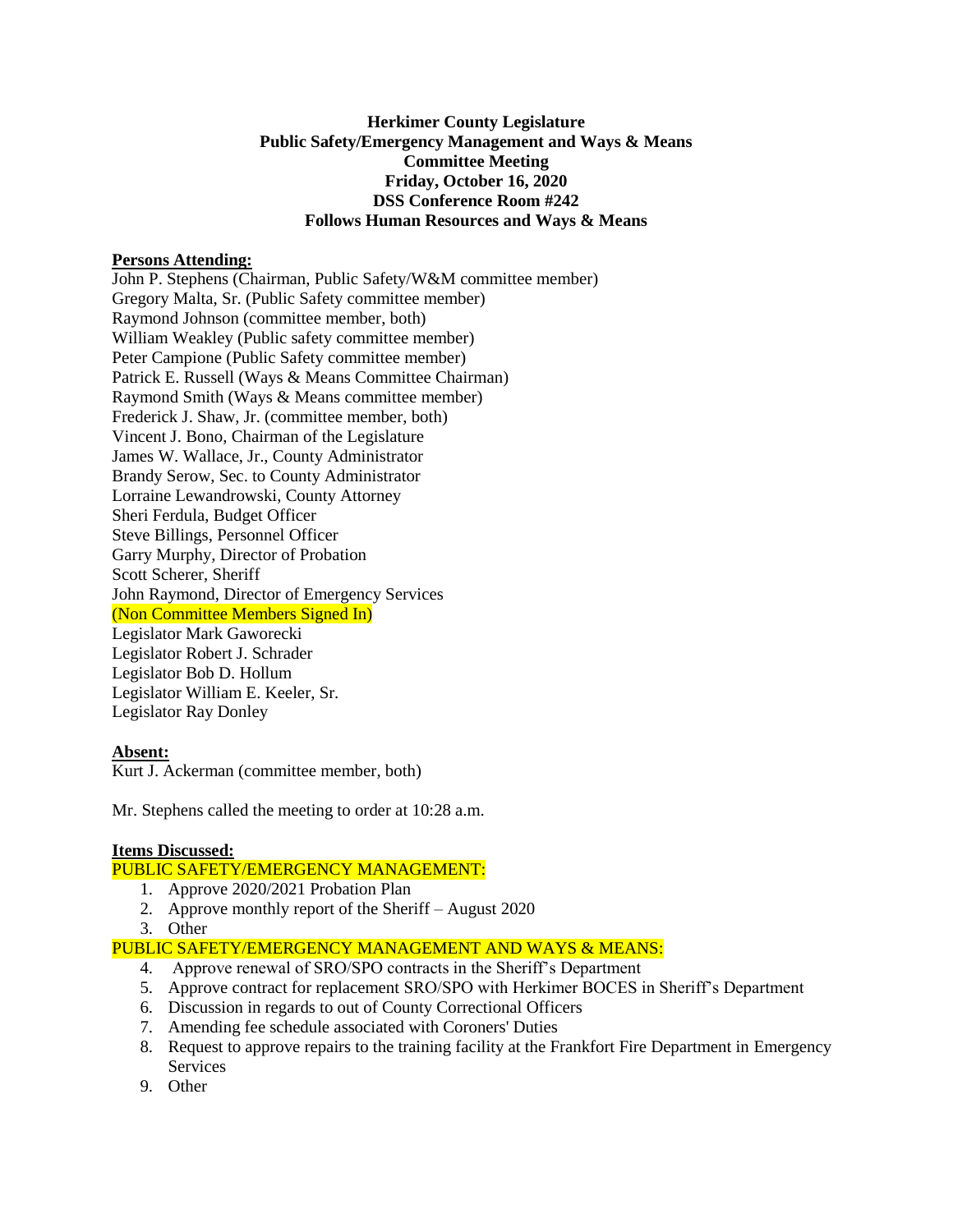# **Herkimer County Legislature Public Safety/Emergency Management and Ways & Means Committee Meeting Friday, October 16, 2020 DSS Conference Room #242 Follows Human Resources and Ways & Means**

## **Persons Attending:**

John P. Stephens (Chairman, Public Safety/W&M committee member) Gregory Malta, Sr. (Public Safety committee member) Raymond Johnson (committee member, both) William Weakley (Public safety committee member) Peter Campione (Public Safety committee member) Patrick E. Russell (Ways & Means Committee Chairman) Raymond Smith (Ways & Means committee member) Frederick J. Shaw, Jr. (committee member, both) Vincent J. Bono, Chairman of the Legislature James W. Wallace, Jr., County Administrator Brandy Serow, Sec. to County Administrator Lorraine Lewandrowski, County Attorney Sheri Ferdula, Budget Officer Steve Billings, Personnel Officer Garry Murphy, Director of Probation Scott Scherer, Sheriff John Raymond, Director of Emergency Services (Non Committee Members Signed In) Legislator Mark Gaworecki Legislator Robert J. Schrader Legislator Bob D. Hollum Legislator William E. Keeler, Sr. Legislator Ray Donley

#### **Absent:**

Kurt J. Ackerman (committee member, both)

Mr. Stephens called the meeting to order at 10:28 a.m.

## **Items Discussed:**

## PUBLIC SAFETY/EMERGENCY MANAGEMENT:

- 1. Approve 2020/2021 Probation Plan
- 2. Approve monthly report of the Sheriff August 2020
- 3. Other

## PUBLIC SAFETY/EMERGENCY MANAGEMENT AND WAYS & MEANS:

- 4. Approve renewal of SRO/SPO contracts in the Sheriff's Department
- 5. Approve contract for replacement SRO/SPO with Herkimer BOCES in Sheriff's Department
- 6. Discussion in regards to out of County Correctional Officers
- 7. Amending fee schedule associated with Coroners' Duties
- 8. Request to approve repairs to the training facility at the Frankfort Fire Department in Emergency Services
- 9. Other